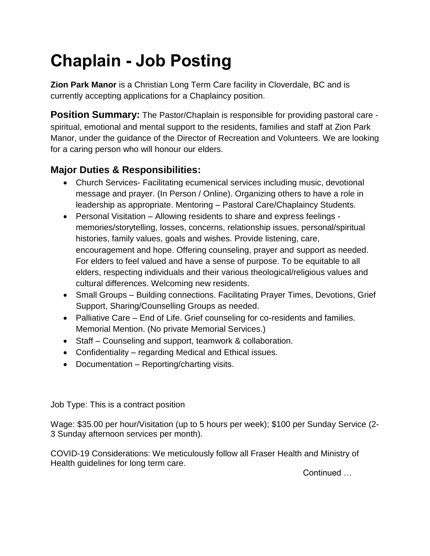## **Chaplain - Job Posting**

**Zion Park Manor** is a Christian Long Term Care facility in Cloverdale, BC and is currently accepting applications for a Chaplaincy position.

**Position Summary:** The Pastor/Chaplain is responsible for providing pastoral care spiritual, emotional and mental support to the residents, families and staff at Zion Park Manor, under the guidance of the Director of Recreation and Volunteers. We are looking for a caring person who will honour our elders.

## **Major Duties & Responsibilities:**

- Church Services- Facilitating ecumenical services including music, devotional message and prayer. (In Person / Online). Organizing others to have a role in leadership as appropriate. Mentoring – Pastoral Care/Chaplaincy Students.
- Personal Visitation Allowing residents to share and express feelings memories/storytelling, losses, concerns, relationship issues, personal/spiritual histories, family values, goals and wishes. Provide listening, care, encouragement and hope. Offering counseling, prayer and support as needed. For elders to feel valued and have a sense of purpose. To be equitable to all elders, respecting individuals and their various theological/religious values and cultural differences. Welcoming new residents.
- Small Groups Building connections. Facilitating Prayer Times, Devotions, Grief Support, Sharing/Counselling Groups as needed.
- Palliative Care End of Life. Grief counseling for co-residents and families. Memorial Mention. (No private Memorial Services.)
- Staff Counseling and support, teamwork & collaboration.
- Confidentiality regarding Medical and Ethical issues.
- Documentation Reporting/charting visits.

Job Type: This is a contract position

Wage: \$35.00 per hour/Visitation (up to 5 hours per week); \$100 per Sunday Service (2- 3 Sunday afternoon services per month).

COVID-19 Considerations: We meticulously follow all Fraser Health and Ministry of Health guidelines for long term care.

**Continued**